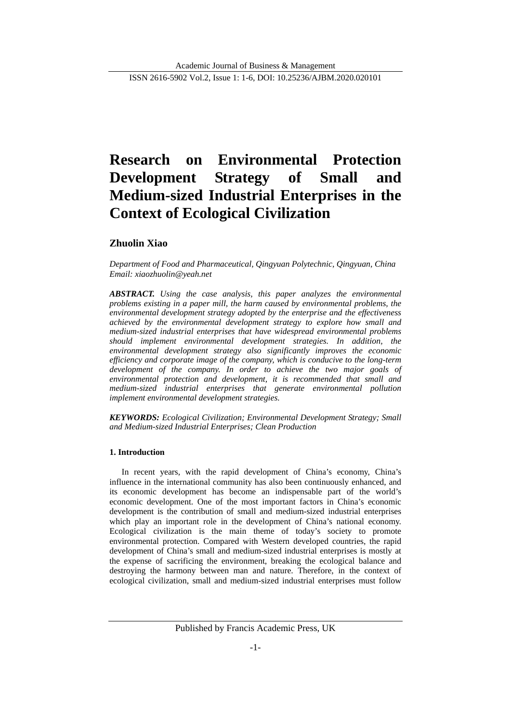# **Research on Environmental Protection Development Strategy of Small and Medium-sized Industrial Enterprises in the Context of Ecological Civilization**

# **Zhuolin Xiao**

*[Department of Food and Pharmaceutical, Qingyuan Polytechnic, Qingyuan, China](https://www.scirp.org/Journal/articles.aspx?searchCode=Department+of+Food+and+Pharmaceutical,+Qingyuan+Polytechnic,+Qingyuan,+China&searchField=affs&page=1&SKID=0) Email: xiaozhuolin@yeah.net*

*ABSTRACT. Using the case analysis, this paper analyzes the environmental problems existing in a paper mill, the harm caused by environmental problems, the environmental development strategy adopted by the enterprise and the effectiveness achieved by the environmental development strategy to explore how small and medium-sized industrial enterprises that have widespread environmental problems should implement environmental development strategies. In addition, the environmental development strategy also significantly improves the economic efficiency and corporate image of the company, which is conducive to the long-term development of the company. In order to achieve the two major goals of environmental protection and development, it is recommended that small and medium-sized industrial enterprises that generate environmental pollution implement environmental development strategies.*

*KEYWORDS: Ecological Civilization; Environmental Development Strategy; Small and Medium-sized Industrial Enterprises; Clean Production*

## **1. Introduction**

In recent years, with the rapid development of China's economy, China's influence in the international community has also been continuously enhanced, and its economic development has become an indispensable part of the world's economic development. One of the most important factors in China's economic development is the contribution of small and medium-sized industrial enterprises which play an important role in the development of China's national economy. Ecological civilization is the main theme of today's society to promote environmental protection. Compared with Western developed countries, the rapid development of China's small and medium-sized industrial enterprises is mostly at the expense of sacrificing the environment, breaking the ecological balance and destroying the harmony between man and nature. Therefore, in the context of ecological civilization, small and medium-sized industrial enterprises must follow

Published by Francis Academic Press, UK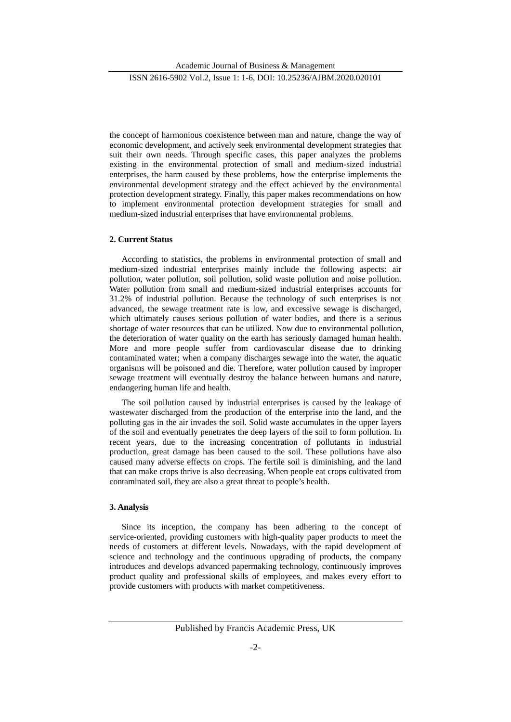Academic Journal of Business & Management

ISSN 2616-5902 Vol.2, Issue 1: 1-6, DOI: 10.25236/AJBM.2020.020101

the concept of harmonious coexistence between man and nature, change the way of economic development, and actively seek environmental development strategies that suit their own needs. Through specific cases, this paper analyzes the problems existing in the environmental protection of small and medium-sized industrial enterprises, the harm caused by these problems, how the enterprise implements the environmental development strategy and the effect achieved by the environmental protection development strategy. Finally, this paper makes recommendations on how to implement environmental protection development strategies for small and medium-sized industrial enterprises that have environmental problems.

### **2. Current Status**

According to statistics, the problems in environmental protection of small and medium-sized industrial enterprises mainly include the following aspects: air pollution, water pollution, soil pollution, solid waste pollution and noise pollution. Water pollution from small and medium-sized industrial enterprises accounts for 31.2% of industrial pollution. Because the technology of such enterprises is not advanced, the sewage treatment rate is low, and excessive sewage is discharged, which ultimately causes serious pollution of water bodies, and there is a serious shortage of water resources that can be utilized. Now due to environmental pollution, the deterioration of water quality on the earth has seriously damaged human health. More and more people suffer from cardiovascular disease due to drinking contaminated water; when a company discharges sewage into the water, the aquatic organisms will be poisoned and die. Therefore, water pollution caused by improper sewage treatment will eventually destroy the balance between humans and nature, endangering human life and health.

The soil pollution caused by industrial enterprises is caused by the leakage of wastewater discharged from the production of the enterprise into the land, and the polluting gas in the air invades the soil. Solid waste accumulates in the upper layers of the soil and eventually penetrates the deep layers of the soil to form pollution. In recent years, due to the increasing concentration of pollutants in industrial production, great damage has been caused to the soil. These pollutions have also caused many adverse effects on crops. The fertile soil is diminishing, and the land that can make crops thrive is also decreasing. When people eat crops cultivated from contaminated soil, they are also a great threat to people's health.

#### **3. Analysis**

Since its inception, the company has been adhering to the concept of service-oriented, providing customers with high-quality paper products to meet the needs of customers at different levels. Nowadays, with the rapid development of science and technology and the continuous upgrading of products, the company introduces and develops advanced papermaking technology, continuously improves product quality and professional skills of employees, and makes every effort to provide customers with products with market competitiveness.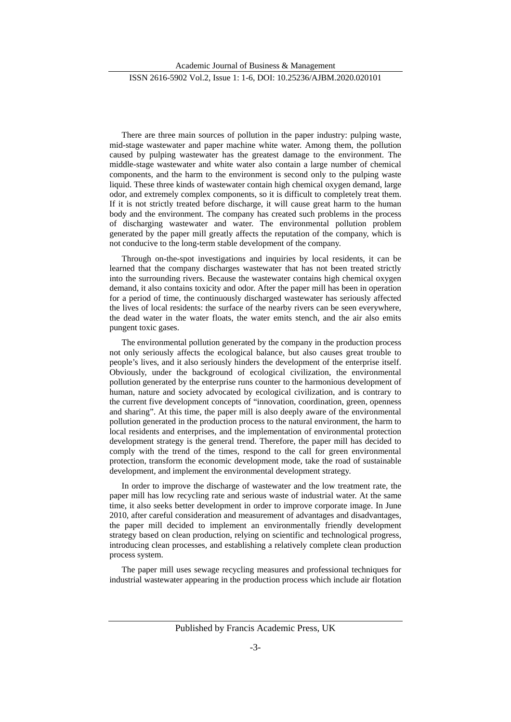#### ISSN 2616-5902 Vol.2, Issue 1: 1-6, DOI: 10.25236/AJBM.2020.020101

There are three main sources of pollution in the paper industry: pulping waste, mid-stage wastewater and paper machine white water. Among them, the pollution caused by pulping wastewater has the greatest damage to the environment. The middle-stage wastewater and white water also contain a large number of chemical components, and the harm to the environment is second only to the pulping waste liquid. These three kinds of wastewater contain high chemical oxygen demand, large odor, and extremely complex components, so it is difficult to completely treat them. If it is not strictly treated before discharge, it will cause great harm to the human body and the environment. The company has created such problems in the process of discharging wastewater and water. The environmental pollution problem generated by the paper mill greatly affects the reputation of the company, which is not conducive to the long-term stable development of the company.

Through on-the-spot investigations and inquiries by local residents, it can be learned that the company discharges wastewater that has not been treated strictly into the surrounding rivers. Because the wastewater contains high chemical oxygen demand, it also contains toxicity and odor. After the paper mill has been in operation for a period of time, the continuously discharged wastewater has seriously affected the lives of local residents: the surface of the nearby rivers can be seen everywhere, the dead water in the water floats, the water emits stench, and the air also emits pungent toxic gases.

The environmental pollution generated by the company in the production process not only seriously affects the ecological balance, but also causes great trouble to people's lives, and it also seriously hinders the development of the enterprise itself. Obviously, under the background of ecological civilization, the environmental pollution generated by the enterprise runs counter to the harmonious development of human, nature and society advocated by ecological civilization, and is contrary to the current five development concepts of "innovation, coordination, green, openness and sharing". At this time, the paper mill is also deeply aware of the environmental pollution generated in the production process to the natural environment, the harm to local residents and enterprises, and the implementation of environmental protection development strategy is the general trend. Therefore, the paper mill has decided to comply with the trend of the times, respond to the call for green environmental protection, transform the economic development mode, take the road of sustainable development, and implement the environmental development strategy.

In order to improve the discharge of wastewater and the low treatment rate, the paper mill has low recycling rate and serious waste of industrial water. At the same time, it also seeks better development in order to improve corporate image. In June 2010, after careful consideration and measurement of advantages and disadvantages, the paper mill decided to implement an environmentally friendly development strategy based on clean production, relying on scientific and technological progress, introducing clean processes, and establishing a relatively complete clean production process system.

The paper mill uses sewage recycling measures and professional techniques for industrial wastewater appearing in the production process which include air flotation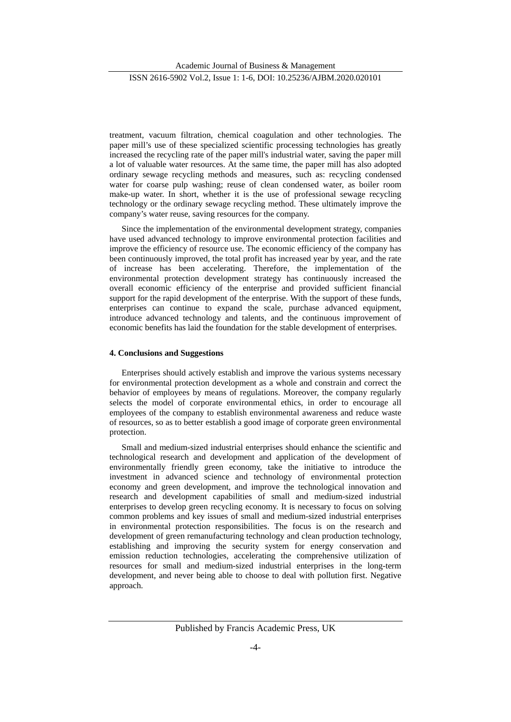Academic Journal of Business & Management

#### ISSN 2616-5902 Vol.2, Issue 1: 1-6, DOI: 10.25236/AJBM.2020.020101

treatment, vacuum filtration, chemical coagulation and other technologies. The paper mill's use of these specialized scientific processing technologies has greatly increased the recycling rate of the paper mill's industrial water, saving the paper mill a lot of valuable water resources. At the same time, the paper mill has also adopted ordinary sewage recycling methods and measures, such as: recycling condensed water for coarse pulp washing; reuse of clean condensed water, as boiler room make-up water. In short, whether it is the use of professional sewage recycling technology or the ordinary sewage recycling method. These ultimately improve the company's water reuse, saving resources for the company.

Since the implementation of the environmental development strategy, companies have used advanced technology to improve environmental protection facilities and improve the efficiency of resource use. The economic efficiency of the company has been continuously improved, the total profit has increased year by year, and the rate of increase has been accelerating. Therefore, the implementation of the environmental protection development strategy has continuously increased the overall economic efficiency of the enterprise and provided sufficient financial support for the rapid development of the enterprise. With the support of these funds, enterprises can continue to expand the scale, purchase advanced equipment, introduce advanced technology and talents, and the continuous improvement of economic benefits has laid the foundation for the stable development of enterprises.

#### **4. Conclusions and Suggestions**

Enterprises should actively establish and improve the various systems necessary for environmental protection development as a whole and constrain and correct the behavior of employees by means of regulations. Moreover, the company regularly selects the model of corporate environmental ethics, in order to encourage all employees of the company to establish environmental awareness and reduce waste of resources, so as to better establish a good image of corporate green environmental protection.

Small and medium-sized industrial enterprises should enhance the scientific and technological research and development and application of the development of environmentally friendly green economy, take the initiative to introduce the investment in advanced science and technology of environmental protection economy and green development, and improve the technological innovation and research and development capabilities of small and medium-sized industrial enterprises to develop green recycling economy. It is necessary to focus on solving common problems and key issues of small and medium-sized industrial enterprises in environmental protection responsibilities. The focus is on the research and development of green remanufacturing technology and clean production technology, establishing and improving the security system for energy conservation and emission reduction technologies, accelerating the comprehensive utilization of resources for small and medium-sized industrial enterprises in the long-term development, and never being able to choose to deal with pollution first. Negative approach.

Published by Francis Academic Press, UK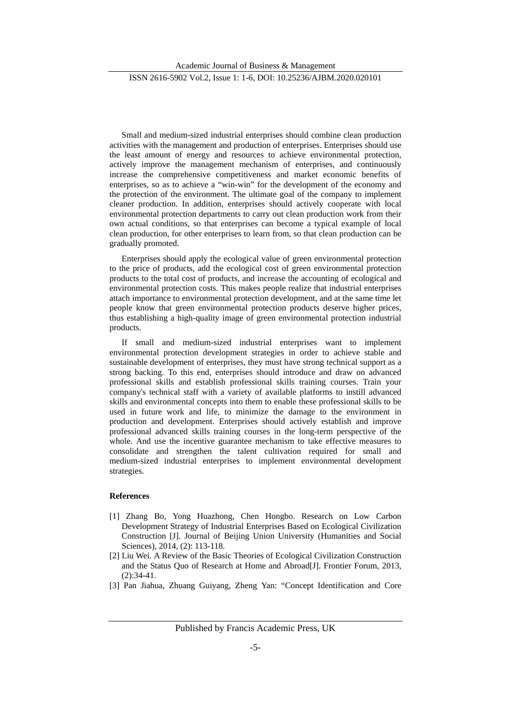#### ISSN 2616-5902 Vol.2, Issue 1: 1-6, DOI: 10.25236/AJBM.2020.020101

Small and medium-sized industrial enterprises should combine clean production activities with the management and production of enterprises. Enterprises should use the least amount of energy and resources to achieve environmental protection, actively improve the management mechanism of enterprises, and continuously increase the comprehensive competitiveness and market economic benefits of enterprises, so as to achieve a "win-win" for the development of the economy and the protection of the environment. The ultimate goal of the company to implement cleaner production. In addition, enterprises should actively cooperate with local environmental protection departments to carry out clean production work from their own actual conditions, so that enterprises can become a typical example of local clean production, for other enterprises to learn from, so that clean production can be gradually promoted.

Enterprises should apply the ecological value of green environmental protection to the price of products, add the ecological cost of green environmental protection products to the total cost of products, and increase the accounting of ecological and environmental protection costs. This makes people realize that industrial enterprises attach importance to environmental protection development, and at the same time let people know that green environmental protection products deserve higher prices, thus establishing a high-quality image of green environmental protection industrial products.

If small and medium-sized industrial enterprises want to implement environmental protection development strategies in order to achieve stable and sustainable development of enterprises, they must have strong technical support as a strong backing. To this end, enterprises should introduce and draw on advanced professional skills and establish professional skills training courses. Train your company's technical staff with a variety of available platforms to instill advanced skills and environmental concepts into them to enable these professional skills to be used in future work and life, to minimize the damage to the environment in production and development. Enterprises should actively establish and improve professional advanced skills training courses in the long-term perspective of the whole. And use the incentive guarantee mechanism to take effective measures to consolidate and strengthen the talent cultivation required for small and medium-sized industrial enterprises to implement environmental development strategies.

## **References**

- [1] Zhang Bo, Yong Huazhong, Chen Hongbo. Research on Low Carbon Development Strategy of Industrial Enterprises Based on Ecological Civilization Construction [J]. Journal of Beijing Union University (Humanities and Social Sciences), 2014, (2): 113-118.
- [2] Liu Wei. A Review of the Basic Theories of Ecological Civilization Construction and the Status Quo of Research at Home and Abroad[J]. Frontier Forum, 2013, (2):34-41.
- [3] Pan Jiahua, Zhuang Guiyang, Zheng Yan: "Concept Identification and Core